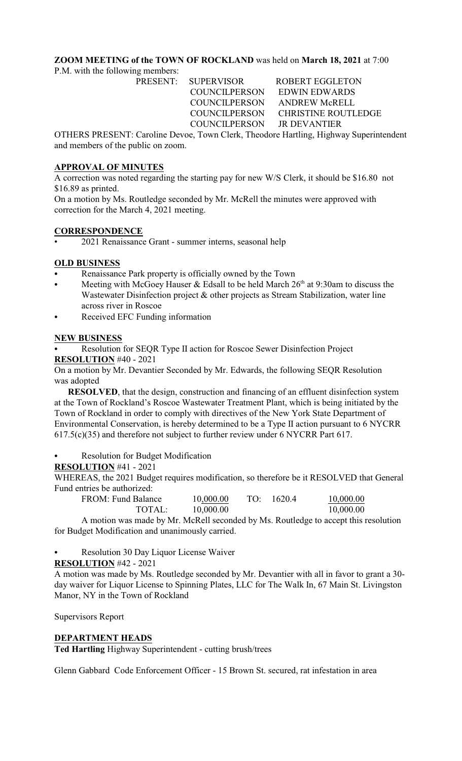## **ZOOM MEETING of the TOWN OF ROCKLAND** was held on **March 18, 2021** at 7:00

P.M. with the following members:

PRESENT: SUPERVISOR ROBERT EGGLETON COUNCILPERSON EDWIN EDWARDS COUNCILPERSON ANDREW McRELL COUNCILPERSON CHRISTINE ROUTLEDGE COUNCILPERSON JR DEVANTIER

OTHERS PRESENT: Caroline Devoe, Town Clerk, Theodore Hartling, Highway Superintendent and members of the public on zoom.

## **APPROVAL OF MINUTES**

A correction was noted regarding the starting pay for new W/S Clerk, it should be \$16.80 not \$16.89 as printed.

On a motion by Ms. Routledge seconded by Mr. McRell the minutes were approved with correction for the March 4, 2021 meeting.

#### **CORRESPONDENCE**

• 2021 Renaissance Grant - summer interns, seasonal help

## **OLD BUSINESS**

- Renaissance Park property is officially owned by the Town
- Meeting with McGoey Hauser & Edsall to be held March  $26<sup>th</sup>$  at 9:30am to discuss the Wastewater Disinfection project & other projects as Stream Stabilization, water line across river in Roscoe
- Received EFC Funding information

## **NEW BUSINESS**

Resolution for SEQR Type II action for Roscoe Sewer Disinfection Project **RESOLUTION** #40 - 2021

On a motion by Mr. Devantier Seconded by Mr. Edwards, the following SEQR Resolution was adopted

**RESOLVED**, that the design, construction and financing of an effluent disinfection system at the Town of Rockland's Roscoe Wastewater Treatment Plant, which is being initiated by the Town of Rockland in order to comply with directives of the New York State Department of Environmental Conservation, is hereby determined to be a Type II action pursuant to 6 NYCRR 617.5(c)(35) and therefore not subject to further review under 6 NYCRR Part 617.

Resolution for Budget Modification

#### **RESOLUTION** #41 - 2021

WHEREAS, the 2021 Budget requires modification, so therefore be it RESOLVED that General Fund entries be authorized:

| FROM: Fund Balance | 10,000.00 | TO: | 1620.4 | 10,000.00 |
|--------------------|-----------|-----|--------|-----------|
| TOTAL:             | 10,000.00 |     |        | 10,000.00 |

A motion was made by Mr. McRell seconded by Ms. Routledge to accept this resolution for Budget Modification and unanimously carried.

Resolution 30 Day Liquor License Waiver

#### **RESOLUTION** #42 - 2021

A motion was made by Ms. Routledge seconded by Mr. Devantier with all in favor to grant a 30 day waiver for Liquor License to Spinning Plates, LLC for The Walk In, 67 Main St. Livingston Manor, NY in the Town of Rockland

Supervisors Report

## **DEPARTMENT HEADS**

**Ted Hartling** Highway Superintendent - cutting brush/trees

Glenn Gabbard Code Enforcement Officer - 15 Brown St. secured, rat infestation in area